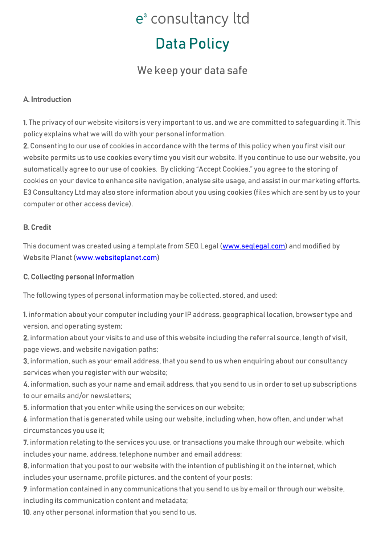### Data Policy

### We keep your data safe

#### A. Introduction

1. The privacy of our website visitors is very important to us, and we are committed to safeguarding it. This policy explains what we will do with your personal information.

2. Consenting to our use of cookies in accordance with the terms of this policy when you first visit our website permits us to use cookies every time you visit our website. If you continue to use our website, you automatically agree to our use of cookies. By clicking "Accept Cookies," you agree to the storing of cookies on your device to enhance site navigation, analyse site usage, and assist in our marketing efforts. E3 Consultancy Ltd may also store information about you using cookies (files which are sent by us to your computer or other access device).

#### B. Credit

This document was created using a template from SEQ Legal [\(www.seqlegal.com\)](http://www.seqlegal.com/) and modified by Website Planet [\(www.websiteplanet.com\)](http://www.websiteplanet.com/)

#### C. Collecting personal information

The following types of personal information may be collected, stored, and used:

1. information about your computer including your IP address, geographical location, browser type and version, and operating system;

2. information about your visits to and use of this website including the referral source, length of visit, page views, and website navigation paths;

3. information, such as your email address, that you send to us when enquiring about our consultancy services when you register with our website;

4. information, such as your name and email address, that you send to us in order to set up subscriptions to our emails and/or newsletters;

5. information that you enter while using the services on our website;

6. information that is generated while using our website, including when, how often, and under what circumstances you use it;

7. information relating to the services you use, or transactions you make through our website, which includes your name, address, telephone number and email address;

8. information that you post to our website with the intention of publishing it on the internet, which includes your username, profile pictures, and the content of your posts;

9. information contained in any communications that you send to us by email or through our website, including its communication content and metadata;

10. any other personal information that you send to us.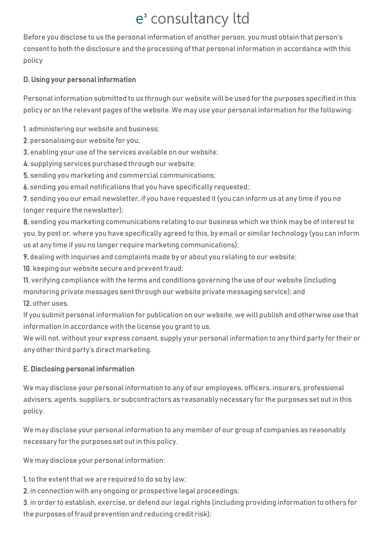Before you disclose to us the personal information of another person, you must obtain that person's consent to both the disclosure and the processing of that personal information in accordance with this policy

#### D. Using your personal information

Personal information submitted to us through our website will be used for the purposes specified in this policy or on the relevant pages of the website. We may use your personal information for the following:

1. administering our website and business;

2. personalising our website for you;

3. enabling your use of the services available on our website;

4. supplying services purchased through our website;

5. sending you marketing and commercial communications;

6. sending you email notifications that you have specifically requested;

7. sending you our email newsletter, if you have requested it (you can inform us at any time if you no longer require the newsletter);

8. sending you marketing communications relating to our business which we think may be of interest to you, by post or, where you have specifically agreed to this, by email or similar technology (you can inform us at any time if you no longer require marketing communications);

9. dealing with inquiries and complaints made by or about you relating to our website;

10. keeping our website secure and prevent fraud;

11. verifying compliance with the terms and conditions governing the use of our website (including monitoring private messages sent through our website private messaging service); and 12. other uses.

If you submit personal information for publication on our website, we will publish and otherwise use that information in accordance with the license you grant to us.

We will not, without your express consent, supply your personal information to any third party for their or any other third party's direct marketing.

#### E. Disclosing personal information

We may disclose your personal information to any of our employees, officers, insurers, professional advisers, agents, suppliers, or subcontractors as reasonably necessary for the purposes set out in this policy.

We may disclose your personal information to any member of our group of companies as reasonably necessary for the purposes set out in this policy.

We may disclose your personal information:

1. to the extent that we are required to do so by law;

2. in connection with any ongoing or prospective legal proceedings;

3. in order to establish, exercise, or defend our legal rights (including providing information to others for the purposes of fraud prevention and reducing credit risk);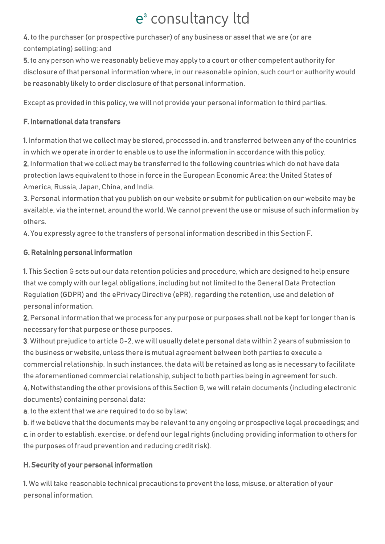4. to the purchaser (or prospective purchaser) of any business or asset that we are (or are contemplating) selling; and

5. to any person who we reasonably believe may apply to a court or other competent authority for disclosure of that personal information where, in our reasonable opinion, such court or authority would be reasonably likely to order disclosure of that personal information.

Except as provided in this policy, we will not provide your personal information to third parties.

#### F. International data transfers

1. Information that we collect may be stored, processed in, and transferred between any of the countries in which we operate in order to enable us to use the information in accordance with this policy. 2. Information that we collect may be transferred to the following countries which do not have data protection laws equivalent to those in force in the European Economic Area: the United States of America, Russia, Japan, China, and India.

3. Personal information that you publish on our website or submit for publication on our website may be available, via the internet, around the world. We cannot prevent the use or misuse of such information by others.

4. You expressly agree to the transfers of personal information described in this Section F.

#### G. Retaining personal information

1. This Section G sets out our data retention policies and procedure, which are designed to help ensure that we comply with our legal obligations, including but not limited to the General Data Protection Regulation (GDPR) and the ePrivacy Directive (ePR), regarding the retention, use and deletion of personal information.

2. Personal information that we process for any purpose or purposes shall not be kept for longer than is necessary for that purpose or those purposes.

3. Without prejudice to article G-2, we will usually delete personal data within 2 years of submission to the business or website, unless there is mutual agreement between both parties to execute a commercial relationship. In such instances, the data will be retained as long as is necessary to facilitate the aforementioned commercial relationship, subject to both parties being in agreement for such.

4. Notwithstanding the other provisions of this Section G, we will retain documents (including electronic documents) containing personal data:

a. to the extent that we are required to do so by law;

b. if we believe that the documents may be relevant to any ongoing or prospective legal proceedings; and c. in order to establish, exercise, or defend our legal rights (including providing information to others for the purposes of fraud prevention and reducing credit risk).

#### H. Security of your personal information

1. We will take reasonable technical precautions to prevent the loss, misuse, or alteration of your personal information.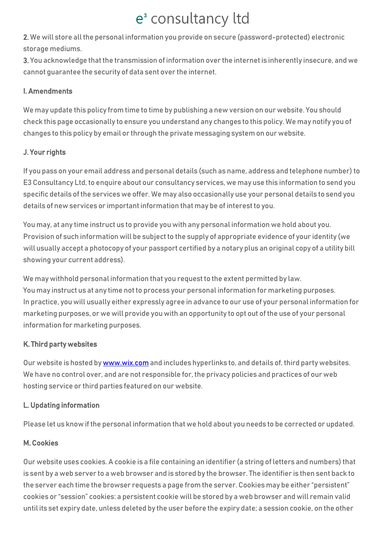2. We will store all the personal information you provide on secure (password-protected) electronic storage mediums.

3. You acknowledge that the transmission of information over the internet is inherently insecure, and we cannot guarantee the security of data sent over the internet.

#### I. Amendments

We may update this policy from time to time by publishing a new version on our website. You should check this page occasionally to ensure you understand any changes to this policy. We may notify you of changes to this policy by email or through the private messaging system on our website.

#### J. Your rights

If you pass on your email address and personal details (such as name, address and telephone number) to E3 Consultancy Ltd, to enquire about our consultancy services, we may use this information to send you specific details of the services we offer. We may also occasionally use your personal details to send you details of new services or important information that may be of interest to you.

You may, at any time instruct us to provide you with any personal information we hold about you. Provision of such information will be subject to the supply of appropriate evidence of your identity (we will usually accept a photocopy of your passport certified by a notary plus an original copy of a utility bill showing your current address).

We may withhold personal information that you request to the extent permitted by law. You may instruct us at any time not to process your personal information for marketing purposes. In practice, you will usually either expressly agree in advance to our use of your personal information for marketing purposes, or we will provide you with an opportunity to opt out of the use of your personal information for marketing purposes.

#### K. Third party websites

Our website is hosted b[y www.wix.com](http://www.wix.com/) and includes hyperlinks to, and details of, third party websites. We have no control over, and are not responsible for, the privacy policies and practices of our web hosting service or third parties featured on our website.

#### L. Updating information

Please let us know if the personal information that we hold about you needs to be corrected or updated.

#### M. Cookies

Our website uses cookies. A cookie is a file containing an identifier (a string of letters and numbers) that is sent by a web server to a web browser and is stored by the browser. The identifier is then sent back to the server each time the browser requests a page from the server. Cookies may be either "persistent" cookies or "session" cookies: a persistent cookie will be stored by a web browser and will remain valid until its set expiry date, unless deleted by the user before the expiry date; a session cookie, on the other